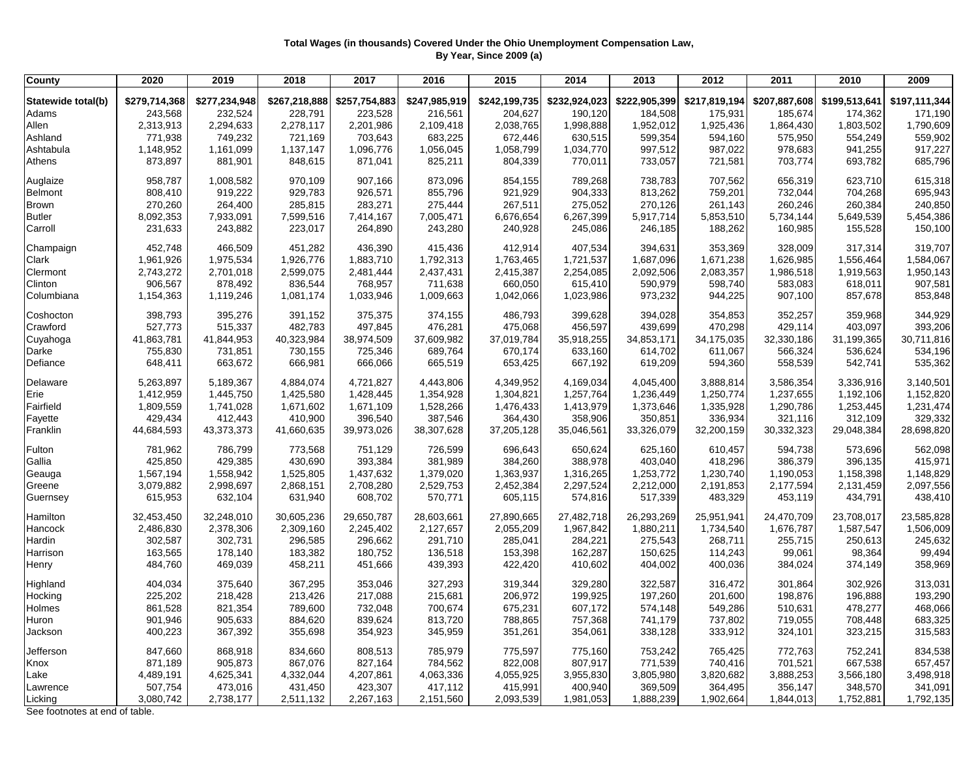## **Total Wages (in thousands) Covered Under the Ohio Unemployment Compensation Law, By Year, Since 2009 (a)**

| <b>County</b>                  | 2020          | 2019          | 2018          | 2017          | 2016          | 2015          | 2014          | 2013          | 2012          | 2011          | 2010          | 2009          |
|--------------------------------|---------------|---------------|---------------|---------------|---------------|---------------|---------------|---------------|---------------|---------------|---------------|---------------|
| Statewide total(b)             | \$279,714,368 | \$277,234,948 | \$267,218,888 | \$257,754,883 | \$247,985,919 | \$242,199,735 | \$232,924,023 | \$222,905,399 | \$217,819,194 | \$207,887,608 | \$199,513,641 | \$197,111,344 |
| Adams                          | 243,568       | 232,524       | 228,791       | 223,528       | 216,561       | 204,627       | 190,120       | 184,508       | 175,931       | 185,674       | 174,362       | 171,190       |
| Allen                          | 2,313,913     | 2,294,633     | 2,278,117     | 2,201,986     | 2,109,418     | 2,038,765     | 1,998,888     | 1,952,012     | 1,925,436     | 1,864,430     | 1,803,502     | 1,790,609     |
| Ashland                        | 771,938       | 749,232       | 721,169       | 703,643       | 683,225       | 672,446       | 630,515       | 599,354       | 594,160       | 575,950       | 554,249       | 559,902       |
| Ashtabula                      | 1,148,952     | 1,161,099     | 1,137,147     | 1,096,776     | 1,056,045     | 1,058,799     | 1,034,770     | 997,512       | 987,022       | 978,683       | 941,255       | 917,227       |
| Athens                         | 873,897       | 881,901       | 848,615       | 871,041       | 825,211       | 804,339       | 770,011       | 733,057       | 721,581       | 703,774       | 693,782       | 685,796       |
|                                |               |               |               |               |               |               |               |               |               |               |               |               |
| Auglaize                       | 958,787       | 1,008,582     | 970,109       | 907,166       | 873,096       | 854,155       | 789,268       | 738,783       | 707,562       | 656,319       | 623,710       | 615,318       |
| Belmont                        | 808,410       | 919,222       | 929,783       | 926,571       | 855,796       | 921,929       | 904,333       | 813,262       | 759,201       | 732,044       | 704,268       | 695,943       |
| Brown                          | 270,260       | 264,400       | 285,815       | 283,271       | 275,444       | 267,511       | 275,052       | 270,126       | 261,143       | 260,246       | 260,384       | 240,850       |
| <b>Butler</b>                  | 8,092,353     | 7,933,091     | 7,599,516     | 7,414,167     | 7,005,471     | 6,676,654     | 6,267,399     | 5,917,714     | 5,853,510     | 5,734,144     | 5,649,539     | 5,454,386     |
| Carroll                        | 231,633       | 243,882       | 223,017       | 264,890       | 243,280       | 240,928       | 245,086       | 246,185       | 188,262       | 160,985       | 155,528       | 150,100       |
| Champaign                      | 452,748       | 466,509       | 451,282       | 436,390       | 415,436       | 412,914       | 407,534       | 394,631       | 353,369       | 328,009       | 317,314       | 319,707       |
| Clark                          | 1,961,926     | 1,975,534     | 1,926,776     | 1,883,710     | 1,792,313     | 1,763,465     | 1,721,537     | 1,687,096     | 1,671,238     | 1,626,985     | 1,556,464     | 1,584,067     |
| Clermont                       | 2,743,272     | 2,701,018     | 2,599,075     | 2,481,444     | 2,437,431     | 2,415,387     | 2,254,085     | 2,092,506     | 2,083,357     | 1,986,518     | 1,919,563     | 1,950,143     |
| Clinton                        | 906,567       | 878,492       | 836,544       | 768,957       | 711,638       | 660,050       | 615,410       | 590,979       | 598,740       | 583,083       | 618,011       | 907,581       |
| Columbiana                     | 1,154,363     | 1,119,246     | 1,081,174     | 1,033,946     | 1,009,663     | 1,042,066     | 1,023,986     | 973,232       | 944,225       | 907,100       | 857,678       | 853,848       |
| Coshocton                      | 398,793       | 395,276       | 391,152       | 375,375       | 374,155       | 486,793       | 399,628       | 394,028       | 354,853       | 352,257       | 359,968       | 344,929       |
| Crawford                       | 527,773       | 515,337       | 482,783       | 497,845       | 476,281       | 475,068       | 456,597       | 439,699       | 470,298       | 429,114       | 403,097       | 393,206       |
| Cuyahoga                       | 41,863,781    | 41,844,953    | 40,323,984    | 38,974,509    | 37,609,982    | 37,019,784    | 35,918,255    | 34,853,171    | 34,175,035    | 32,330,186    | 31,199,365    | 30,711,816    |
| Darke                          | 755,830       | 731,851       | 730,155       | 725,346       | 689,764       | 670,174       | 633,160       | 614,702       | 611,067       | 566,324       | 536,624       | 534,196       |
| Defiance                       | 648,411       | 663,672       | 666,981       | 666,066       | 665,519       | 653,425       | 667,192       | 619,209       | 594,360       | 558,539       | 542,741       | 535,362       |
| Delaware                       | 5,263,897     | 5,189,367     | 4,884,074     | 4,721,827     | 4,443,806     | 4,349,952     | 4,169,034     | 4,045,400     | 3,888,814     | 3,586,354     | 3,336,916     | 3,140,501     |
| Erie                           | 1,412,959     | 1,445,750     | 1,425,580     | 1,428,445     | 1,354,928     | 1,304,821     | 1,257,764     | 1,236,449     | 1,250,774     | 1,237,655     | 1,192,106     | 1,152,820     |
| Fairfield                      | 1,809,559     | 1,741,028     | 1,671,602     | 1,671,109     | 1,528,266     | 1,476,433     | 1,413,979     | 1,373,646     | 1,335,928     | 1,290,786     | 1,253,445     | 1,231,474     |
| Fayette                        | 429,434       | 412,443       | 410,900       | 396,540       | 387,546       | 364,430       | 358,906       | 350,851       | 336,934       | 321,116       | 312,109       | 329,332       |
| Franklin                       | 44,684,593    | 43,373,373    | 41,660,635    | 39,973,026    | 38,307,628    | 37,205,128    | 35,046,561    | 33,326,079    | 32,200,159    | 30,332,323    | 29,048,384    | 28,698,820    |
| Fulton                         | 781,962       | 786,799       | 773,568       | 751,129       | 726,599       | 696,643       | 650,624       | 625,160       | 610,457       | 594,738       | 573,696       | 562,098       |
| Gallia                         | 425,850       | 429,385       | 430,690       | 393,384       | 381,989       | 384,260       | 388,978       | 403,040       | 418,296       | 386,379       | 396,135       | 415,971       |
| Geauga                         | 1,567,194     | 1,558,942     | 1,525,805     | 1,437,632     | 1,379,020     | 1,363,937     | 1,316,265     | 1,253,772     | 1,230,740     | 1,190,053     | 1,158,398     | 1,148,829     |
| Greene                         | 3,079,882     | 2,998,697     | 2,868,151     | 2,708,280     | 2,529,753     | 2,452,384     | 2,297,524     | 2,212,000     | 2,191,853     | 2,177,594     | 2,131,459     | 2,097,556     |
| Guernsey                       | 615,953       | 632,104       | 631,940       | 608,702       | 570,771       | 605,115       | 574,816       | 517,339       | 483,329       | 453,119       | 434,791       | 438,410       |
|                                |               |               |               |               |               |               |               |               |               |               |               |               |
| Hamilton                       | 32,453,450    | 32,248,010    | 30,605,236    | 29,650,787    | 28,603,661    | 27,890,665    | 27,482,718    | 26,293,269    | 25,951,941    | 24,470,709    | 23,708,017    | 23,585,828    |
| Hancock                        | 2,486,830     | 2,378,306     | 2,309,160     | 2,245,402     | 2,127,657     | 2,055,209     | 1,967,842     | 1,880,211     | 1,734,540     | 1,676,787     | 1,587,547     | 1,506,009     |
| Hardin                         | 302,587       | 302,731       | 296,585       | 296,662       | 291,710       | 285,041       | 284,221       | 275,543       | 268,711       | 255,715       | 250,613       | 245,632       |
| Harrison                       | 163,565       | 178,140       | 183,382       | 180,752       | 136,518       | 153,398       | 162,287       | 150,625       | 114,243       | 99,061        | 98,364        | 99,494        |
| Henry                          | 484,760       | 469,039       | 458,211       | 451,666       | 439,393       | 422,420       | 410,602       | 404,002       | 400,036       | 384,024       | 374,149       | 358,969       |
| Highland                       | 404,034       | 375,640       | 367,295       | 353,046       | 327,293       | 319,344       | 329,280       | 322,587       | 316,472       | 301,864       | 302,926       | 313,031       |
| Hocking                        | 225,202       | 218,428       | 213,426       | 217,088       | 215,681       | 206,972       | 199,925       | 197,260       | 201,600       | 198,876       | 196,888       | 193,290       |
| Holmes                         | 861,528       | 821,354       | 789,600       | 732,048       | 700,674       | 675,231       | 607,172       | 574,148       | 549,286       | 510,631       | 478,277       | 468,066       |
| Huron                          | 901,946       | 905,633       | 884,620       | 839,624       | 813,720       | 788,865       | 757,368       | 741,179       | 737,802       | 719,055       | 708,448       | 683,325       |
| Jackson                        | 400,223       | 367,392       | 355,698       | 354,923       | 345,959       | 351,261       | 354,061       | 338,128       | 333,912       | 324,101       | 323,215       | 315,583       |
| Jefferson                      | 847,660       | 868,918       | 834,660       | 808,513       | 785,979       | 775,597       | 775,160       | 753,242       | 765,425       | 772,763       | 752,241       | 834,538       |
| Knox                           | 871,189       | 905,873       | 867,076       | 827,164       | 784,562       | 822,008       | 807,917       | 771,539       | 740,416       | 701,521       | 667,538       | 657,457       |
| Lake                           | 4,489,191     | 4,625,341     | 4,332,044     | 4,207,861     | 4,063,336     | 4,055,925     | 3,955,830     | 3,805,980     | 3,820,682     | 3,888,253     | 3,566,180     | 3,498,918     |
| Lawrence                       | 507,754       | 473,016       | 431,450       | 423,307       | 417,112       | 415,991       | 400,940       | 369,509       | 364,495       | 356,147       | 348,570       | 341,091       |
| Licking                        | 3,080,742     | 2,738,177     | 2,511,132     | 2,267,163     | 2,151,560     | 2,093,539     | 1,981,053     | 1,888,239     | 1,902,664     | 1,844,013     | 1,752,881     | 1,792,135     |
| See footnotes at end of table. |               |               |               |               |               |               |               |               |               |               |               |               |